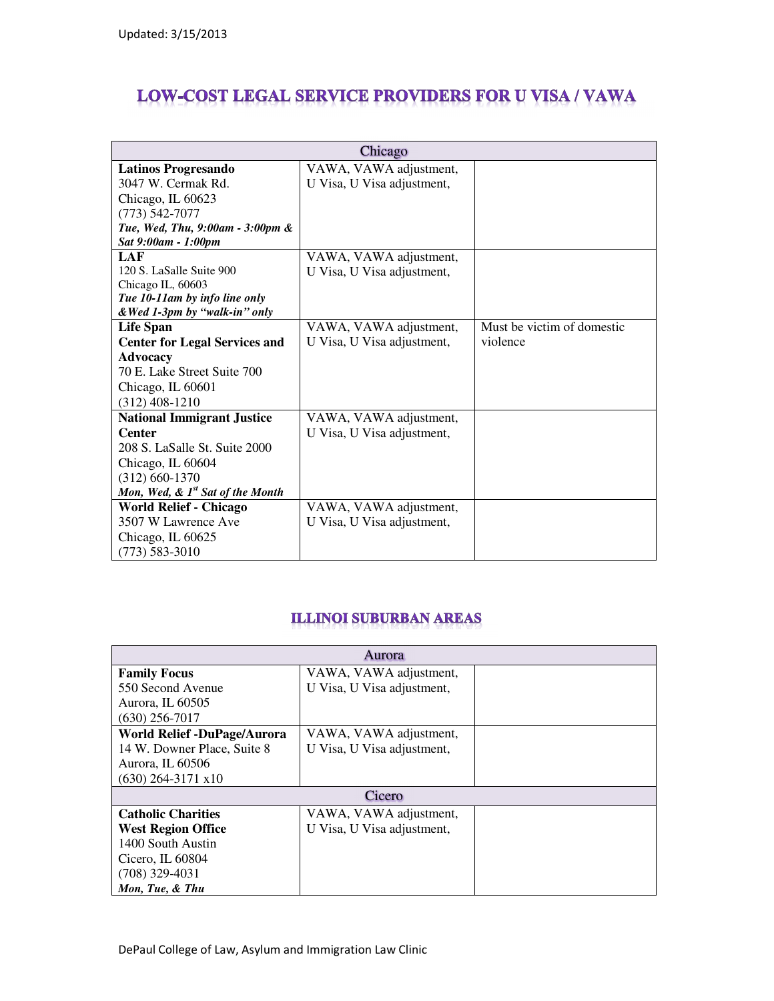## **LOW-COST LEGAL SERVICE PROVIDERS FOR U VISA / VAWA**

| Chicago                                      |                            |                            |  |
|----------------------------------------------|----------------------------|----------------------------|--|
| <b>Latinos Progresando</b>                   | VAWA, VAWA adjustment,     |                            |  |
| 3047 W. Cermak Rd.                           | U Visa, U Visa adjustment, |                            |  |
| Chicago, IL 60623                            |                            |                            |  |
| $(773) 542 - 7077$                           |                            |                            |  |
| Tue, Wed, Thu, 9:00am - 3:00pm &             |                            |                            |  |
| Sat 9:00am - 1:00pm                          |                            |                            |  |
| LAF                                          | VAWA, VAWA adjustment,     |                            |  |
| 120 S. LaSalle Suite 900                     | U Visa, U Visa adjustment, |                            |  |
| Chicago IL, 60603                            |                            |                            |  |
| Tue 10-11am by info line only                |                            |                            |  |
| & Wed 1-3pm by "walk-in" only                |                            |                            |  |
| Life Span                                    | VAWA, VAWA adjustment,     | Must be victim of domestic |  |
| <b>Center for Legal Services and</b>         | U Visa, U Visa adjustment, | violence                   |  |
| <b>Advocacy</b>                              |                            |                            |  |
| 70 E. Lake Street Suite 700                  |                            |                            |  |
| Chicago, IL 60601                            |                            |                            |  |
| $(312)$ 408-1210                             |                            |                            |  |
| <b>National Immigrant Justice</b>            | VAWA, VAWA adjustment,     |                            |  |
| <b>Center</b>                                | U Visa, U Visa adjustment, |                            |  |
| 208 S. LaSalle St. Suite 2000                |                            |                            |  |
| Chicago, IL 60604                            |                            |                            |  |
| $(312) 660 - 1370$                           |                            |                            |  |
| Mon, Wed, & 1 <sup>st</sup> Sat of the Month |                            |                            |  |
| <b>World Relief - Chicago</b>                | VAWA, VAWA adjustment,     |                            |  |
| 3507 W Lawrence Ave                          | U Visa, U Visa adjustment, |                            |  |
| Chicago, IL 60625                            |                            |                            |  |
| $(773) 583 - 3010$                           |                            |                            |  |

## **ILLINOI SUBURBAN AREAS**

| Aurora                             |                            |  |  |  |
|------------------------------------|----------------------------|--|--|--|
| <b>Family Focus</b>                | VAWA, VAWA adjustment,     |  |  |  |
| 550 Second Avenue                  | U Visa, U Visa adjustment, |  |  |  |
| Aurora, IL 60505                   |                            |  |  |  |
| $(630)$ 256-7017                   |                            |  |  |  |
| <b>World Relief -DuPage/Aurora</b> | VAWA, VAWA adjustment,     |  |  |  |
| 14 W. Downer Place, Suite 8        | U Visa, U Visa adjustment, |  |  |  |
| Aurora, IL 60506                   |                            |  |  |  |
| $(630)$ 264-3171 x10               |                            |  |  |  |
| Cicero                             |                            |  |  |  |
| <b>Catholic Charities</b>          | VAWA, VAWA adjustment,     |  |  |  |
| <b>West Region Office</b>          | U Visa, U Visa adjustment, |  |  |  |
| 1400 South Austin                  |                            |  |  |  |
| Cicero, IL 60804                   |                            |  |  |  |
| $(708)$ 329-4031                   |                            |  |  |  |
| Mon, Tue, & Thu                    |                            |  |  |  |